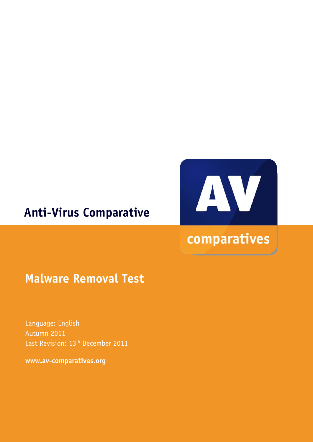## **Anti-Virus Comparative**



# comparatives

### **Malware Removal Test**

Language: English Autumn 2011 Last Revision: 13<sup>th</sup> December 2011

**www.av-comparatives.org**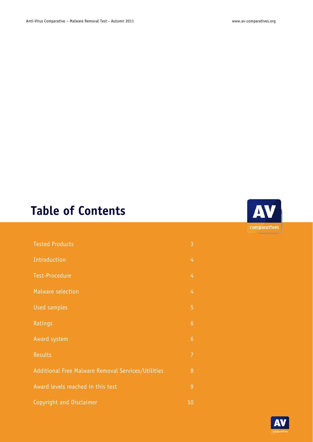# **Table of Contents**

| <b>Tested Products</b>                             | 3              |
|----------------------------------------------------|----------------|
| Introduction                                       | 4              |
| <b>Test-Procedure</b>                              | 4              |
| <b>Malware selection</b>                           | 4              |
| <b>Used samples</b>                                | 5              |
| Ratings                                            | $\overline{6}$ |
| Award system                                       | $\overline{6}$ |
| <b>Results</b>                                     | $\overline{7}$ |
| Additional Free Malware Removal Services/Utilities | 8              |
| Award levels reached in this test                  | $\overline{9}$ |
| Copyright and Disclaimer                           | 10             |



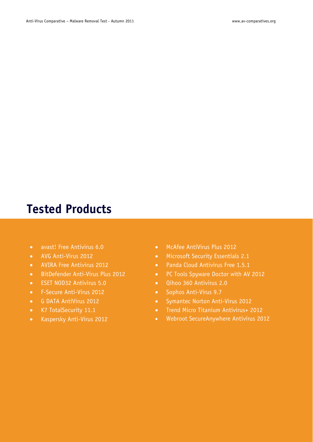### **Tested Products**

- avast! Free Antivirus 6.0
- AVG Anti-Virus 2012
- AVIRA Free Antivirus 2012
- BitDefender Anti-Virus Plus 2012
- ESET NOD32 Antivirus 5.0
- F-Secure Anti-Virus 2012
- G DATA AntiVirus 2012
- K7 TotalSecurity 11.1
- Kaspersky Anti-Virus 2012
- McAfee AntiVirus Plus 2012
- Microsoft Security Essentials 2.1
- Panda Cloud Antivirus Free 1.5.1
- PC Tools Spyware Doctor with AV 2012
- Qihoo 360 Antivirus 2.0
- Sophos Anti-Virus 9.7
- Symantec Norton Anti-Virus 2012
- Trend Micro Titanium Antivirus+ 2012
- Webroot SecureAnywhere Antivirus 2012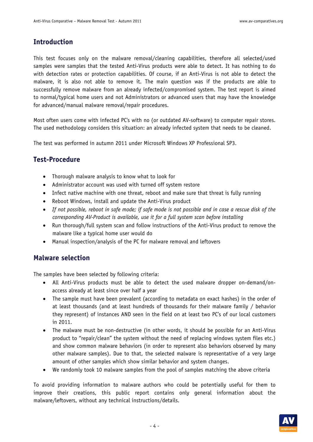#### **Introduction**

This test focuses only on the malware removal/cleaning capabilities, therefore all selected/used samples were samples that the tested Anti-Virus products were able to detect. It has nothing to do with detection rates or protection capabilities. Of course, if an Anti-Virus is not able to detect the malware, it is also not able to remove it. The main question was if the products are able to successfully remove malware from an already infected/compromised system. The test report is aimed to normal/typical home users and not Administrators or advanced users that may have the knowledge for advanced/manual malware removal/repair procedures.

Most often users come with infected PC's with no (or outdated AV-software) to computer repair stores. The used methodology considers this situation: an already infected system that needs to be cleaned.

The test was performed in autumn 2011 under Microsoft Windows XP Professional SP3.

#### **Test-Procedure**

- Thorough malware analysis to know what to look for
- Administrator account was used with turned off system restore
- Infect native machine with one threat, reboot and make sure that threat is fully running
- Reboot Windows, install and update the Anti-Virus product
- *If not possible, reboot in safe mode; if safe mode is not possible and in case a rescue disk of the corresponding AV-Product is available, use it for a full system scan before installing*
- Run thorough/full system scan and follow instructions of the Anti-Virus product to remove the malware like a typical home user would do
- Manual inspection/analysis of the PC for malware removal and leftovers

#### **Malware selection**

The samples have been selected by following criteria:

- All Anti-Virus products must be able to detect the used malware dropper on-demand/onaccess already at least since over half a year
- The sample must have been prevalent (according to metadata on exact hashes) in the order of at least thousands (and at least hundreds of thousands for their malware family / behavior they represent) of instances AND seen in the field on at least two PC's of our local customers in 2011.
- The malware must be non-destructive (in other words, it should be possible for an Anti-Virus product to "repair/clean" the system without the need of replacing windows system files etc.) and show common malware behaviors (in order to represent also behaviors observed by many other malware samples). Due to that, the selected malware is representative of a very large amount of other samples which show similar behavior and system changes.
- We randomly took 10 malware samples from the pool of samples matching the above criteria

To avoid providing information to malware authors who could be potentially useful for them to improve their creations, this public report contains only general information about the malware/leftovers, without any technical instructions/details.

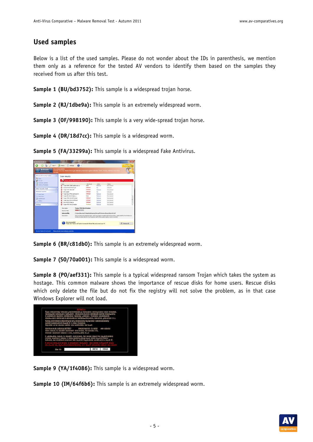#### **Used samples**

Below is a list of the used samples. Please do not wonder about the IDs in parenthesis, we mention them only as a reference for the tested AV vendors to identify them based on the samples they received from us after this test.

**Sample 1 (BU/bd3752):** This sample is a widespread trojan horse.

**Sample 2 (RJ/1dbe9a):** This sample is an extremely widespread worm.

**Sample 3 (OF/998190):** This sample is a very wide-spread trojan horse.

**Sample 4 (DR/18d7cc):** This sample is a widespread worm.

**Sample 5 (FA/33299a):** This sample is a widespread Fake Antivirus.

| <b>Activate</b><br><b>Jimala profession</b>        | theratic      | Recommended:<br>Activity Security Hader Air to get ultimate protection against asientify Theft, virtuals, Makers and 30 |                                          |                                                                                 |                                                |                                                                                      |                                                                                                                        |
|----------------------------------------------------|---------------|-------------------------------------------------------------------------------------------------------------------------|------------------------------------------|---------------------------------------------------------------------------------|------------------------------------------------|--------------------------------------------------------------------------------------|------------------------------------------------------------------------------------------------------------------------|
| <b>Advanced Security Contact</b><br><b>GR Home</b> | $\circ$       | Scan results                                                                                                            |                                          |                                                                                 |                                                |                                                                                      |                                                                                                                        |
| Financial                                          |               |                                                                                                                         | Scan results 20 potential throats found. |                                                                                 |                                                |                                                                                      |                                                                                                                        |
| Automatic Unifated<br>Andyle at Profession         |               | Trainer (ME 1398) Rediscourse at                                                                                        |                                          | Alert level<br>Lines.                                                           | Artists<br><b>Service</b>                      | <b>Status</b><br><b>Told Strawer</b>                                                 |                                                                                                                        |
| Other Security Tauk                                |               | Packed Hirold PolyCrist<br>Superinter, visit and                                                                        |                                          | Cottacial<br>Contacted                                                          | $\mathcal{L}_{\mathcal{R}}$<br><b>Rational</b> | Infected<br>tic done!                                                                |                                                                                                                        |
| <b>Antiquese Sciencer</b>                          | $\frac{1}{2}$ | <b>SETJANNE</b>                                                                                                         |                                          | Cettaud                                                                         | fts:                                           | Internet                                                                             |                                                                                                                        |
| D' qui tian                                        |               | Trapp-Spur-PP4, Bayfraud.htm                                                                                            |                                          | Contacted                                                                       | <b>Tuesday</b>                                 | <b>Tot</b> Unanell                                                                   |                                                                                                                        |
| (3) Deep Scars                                     |               | Staten DA Hand 2 Falue Jr.                                                                                              |                                          | 5 June                                                                          | <b>Rampire</b>                                 | <b>Tot degree</b>                                                                    |                                                                                                                        |
| <b>ST Custom Trian</b>                             |               | Tropian JPDAY MANTZ Flantauth                                                                                           |                                          | Critical                                                                        | <b>Saturda</b>                                 | foot dealers!                                                                        |                                                                                                                        |
| (c) Hitlery                                        |               | Traian Gov, trind 2 company                                                                                             |                                          | Collegel                                                                        | Ramount.                                       | fruit cleared                                                                        |                                                                                                                        |
|                                                    |               | Virus, Win 12 Pallar, A.                                                                                                |                                          | CHEKUR                                                                          | <b>Ramous</b>                                  | <b>Text dealers</b>                                                                  |                                                                                                                        |
| ×.<br>Settings                                     |               | Traian PSW, Win 12 Hooker                                                                                               |                                          | <b>Flindhom</b>                                                                 | <b>Tanaut</b>                                  | fort thorned                                                                         |                                                                                                                        |
|                                                    |               | <b>Blue name:</b><br>Security Right                                                                                     | ----                                     | Trujan PSH.WaL2Jimler                                                           |                                                |                                                                                      |                                                                                                                        |
|                                                    |               | Index test New                                                                                                          |                                          |                                                                                 |                                                | C/Liver/Berutter01/AppCatis/Roaming/Morosuft/Undoor/Record/Servicit2.dl              |                                                                                                                        |
|                                                    |               | Descriptions                                                                                                            |                                          |                                                                                 |                                                | litedays austers deachery and registers med in the austers registry auto-currenters. | This is a passionized sheating Trician. When activated, it installs bad? to the suspens, capaca bad? to the Windows of |
|                                                    |               | <b>Recommended</b>                                                                                                      |                                          | Please club. "Remove of" button to ensine all infected Res and protect your PC. |                                                |                                                                                      | <b>C. Famour All</b>                                                                                                   |

**Sample 6 (BR/c81db0):** This sample is an extremely widespread worm.

**Sample 7 (SO/70a001):** This sample is a widespread worm.

**Sample 8 (PO/aef331):** This sample is a typical widespread ransom Trojan which takes the system as hostage. This common malware shows the importance of rescue disks for home users. Rescue disks which only delete the file but do not fix the registry will not solve the problem, as in that case Windows Explorer will not load.



**Sample 9 (YA/1f4086):** This sample is a widespread worm.

**Sample 10 (IM/64f6b6):** This sample is an extremely widespread worm.

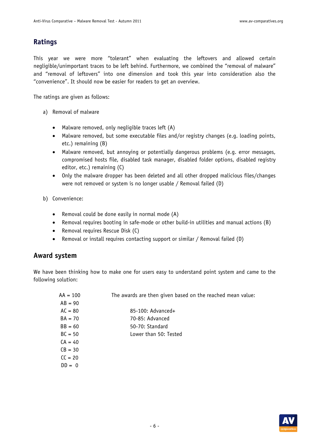#### **Ratings**

This year we were more "tolerant" when evaluating the leftovers and allowed certain negligible/unimportant traces to be left behind. Furthermore, we combined the "removal of malware" and "removal of leftovers" into one dimension and took this year into consideration also the "convenience". It should now be easier for readers to get an overview.

The ratings are given as follows:

- a) Removal of malware
	- Malware removed, only negligible traces left (A)
	- Malware removed, but some executable files and/or registry changes (e.g. loading points, etc.) remaining (B)
	- Malware removed, but annoying or potentially dangerous problems (e.g. error messages, compromised hosts file, disabled task manager, disabled folder options, disabled registry editor, etc.) remaining (C)
	- Only the malware dropper has been deleted and all other dropped malicious files/changes were not removed or system is no longer usable / Removal failed (D)
- b) Convenience:
	- Removal could be done easily in normal mode (A)
	- Removal requires booting in safe-mode or other build-in utilities and manual actions (B)
	- Removal requires Rescue Disk (C)
	- Removal or install requires contacting support or similar / Removal failed (D)

#### **Award system**

We have been thinking how to make one for users easy to understand point system and came to the following solution:

| $AA = 100$ | The awards are then given based on the reached mean value: |
|------------|------------------------------------------------------------|
| $AB = 90$  |                                                            |
| $AC = 80$  | 85-100: Advanced+                                          |
| $BA = 70$  | 70-85: Advanced                                            |
| $BB = 60$  | 50-70: Standard                                            |
| $BC = 50$  | Lower than 50: Tested                                      |
| $CA = 40$  |                                                            |
| $CB = 30$  |                                                            |
| $CC = 20$  |                                                            |
| $DD = 0$   |                                                            |
|            |                                                            |

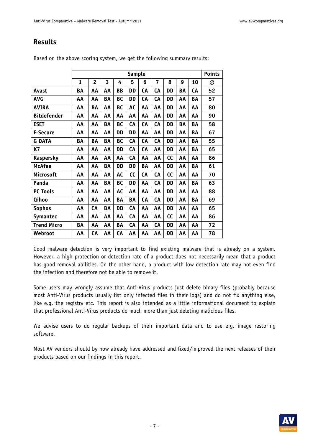#### **Results**

|                    | <b>Sample</b> |                |    |           |           |    | <b>Points</b> |           |    |    |    |
|--------------------|---------------|----------------|----|-----------|-----------|----|---------------|-----------|----|----|----|
|                    | 1             | $\overline{2}$ | 3  | 4         | 5         | 6  | 7             | 8         | 9  | 10 | Ø  |
| Avast              | BA            | AA             | АΑ | BB        | DD        | CA | CA            | DD        | BA | CA | 52 |
| <b>AVG</b>         | AA            | AA             | BA | <b>BC</b> | <b>DD</b> | CA | CA            | <b>DD</b> | AA | ΒA | 57 |
| <b>AVIRA</b>       | AA            | BA             | AA | <b>BC</b> | <b>AC</b> | AA | AA            | <b>DD</b> | AA | AA | 80 |
| <b>Bitdefender</b> | AA            | AA             | AA | AA        | AA        | AA | AA            | <b>DD</b> | AA | AA | 90 |
| <b>ESET</b>        | AA            | AA             | BA | <b>BC</b> | CA        | CA | CA            | <b>DD</b> | BA | ΒA | 58 |
| <b>F-Secure</b>    | AA            | AA             | AA | DD        | DD        | AA | AA            | <b>DD</b> | AA | BA | 67 |
| <b>G DATA</b>      | BA            | BA             | BA | BC        | CA        | CA | CA            | <b>DD</b> | АΑ | ΒA | 55 |
| K7                 | AA            | AA             | AA | <b>DD</b> | CA        | CA | AA            | DD        | AA | BA | 65 |
| <b>Kaspersky</b>   | AA            | AA             | AA | AA        | CA        | AA | AA            | cc        | AA | AA | 86 |
| <b>McAfee</b>      | AA            | AA             | BA | <b>DD</b> | DD        | BA | AA            | <b>DD</b> | AA | BA | 61 |
| Microsoft          | AA            | AA             | AA | AC        | cc        | CA | CA            | cc        | AA | AA | 70 |
| Panda              | AA            | AA             | BA | <b>BC</b> | DD        | AA | CA            | <b>DD</b> | AA | BA | 63 |
| <b>PC Tools</b>    | AA            | AA             | AA | AC        | AA        | AA | AA            | DD        | AA | AA | 88 |
| Qihoo              | АΑ            | АΑ             | AA | BA        | BA        | CA | CA            | <b>DD</b> | АΑ | BA | 69 |
| <b>Sophos</b>      | AA            | CA             | BA | DD        | CA        | AA | AA            | <b>DD</b> | АΑ | AA | 65 |
| <b>Symantec</b>    | AA            | AA             | AA | AA        | CA        | AA | AA            | cc        | AA | AA | 86 |
| <b>Trend Micro</b> | ΒA            | АΑ             | АΑ | BA        | <b>CA</b> | АΑ | <b>CA</b>     | DD        | АΑ | AA | 72 |
| Webroot            | AA            | CA             | AA | CA        | AA        | AA | AA            | <b>DD</b> | AA | AA | 78 |

Based on the above scoring system, we get the following summary results:

Good malware detection is very important to find existing malware that is already on a system. However, a high protection or detection rate of a product does not necessarily mean that a product has good removal abilities. On the other hand, a product with low detection rate may not even find the infection and therefore not be able to remove it.

Some users may wrongly assume that Anti-Virus products just delete binary files (probably because most Anti-Virus products usually list only infected files in their logs) and do not fix anything else, like e.g. the registry etc. This report is also intended as a little informational document to explain that professional Anti-Virus products do much more than just deleting malicious files.

We advise users to do regular backups of their important data and to use e.g. image restoring software.

Most AV vendors should by now already have addressed and fixed/improved the next releases of their products based on our findings in this report.

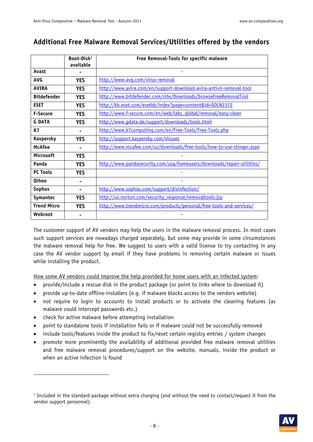#### **Additional Free Malware Removal Services/Utilities offered by the vendors**

|                    | Boot-Disk <sup>1</sup><br>available | Free Removal-Tools for specific malware                                |
|--------------------|-------------------------------------|------------------------------------------------------------------------|
| Avast              |                                     |                                                                        |
| <b>AVG</b>         | <b>YES</b>                          | http://www.avq.com/virus-removal                                       |
| <b>AVIRA</b>       | <b>YES</b>                          | http://www.avira.com/en/support-download-avira-antivir-removal-tool    |
| <b>Bitdefender</b> | <b>YES</b>                          | http://www.bitdefender.com/site/Downloads/browseFreeRemovalTool        |
| <b>ESET</b>        | <b>YES</b>                          | http://kb.eset.com/esetkb/index?page=content&id=SOLN2372               |
| <b>F-Secure</b>    | <b>YES</b>                          | http://www.f-secure.com/en/web/labs_qlobal/removal/easy-clean          |
| <b>G DATA</b>      | <b>YES</b>                          | http://www.gdata.de/support/downloads/tools.html                       |
| <b>K7</b>          |                                     | http://www.k7computing.com/en/Free-Tools/Free-Tools.php                |
| <b>Kaspersky</b>   | <b>YES</b>                          | http://support.kaspersky.com/viruses                                   |
| <b>McAfee</b>      |                                     | http://www.mcafee.com/us/downloads/free-tools/how-to-use-stinger.aspx  |
| Microsoft          | <b>YES</b>                          |                                                                        |
| Panda              | <b>YES</b>                          | http://www.pandasecurity.com/usa/homeusers/downloads/repair-utilities/ |
| <b>PC Tools</b>    | <b>YES</b>                          |                                                                        |
| Qihoo              |                                     |                                                                        |
| <b>Sophos</b>      |                                     | http://www.sophos.com/support/disinfection/                            |
| Symantec           | <b>YES</b>                          | http://us.norton.com/security response/removaltools.jsp                |
| <b>Trend Micro</b> | <b>YES</b>                          | http://www.trendmicro.com/products/personal/free-tools-and-services/   |
| Webroot            |                                     |                                                                        |

The customer support of AV vendors may help the users in the malware removal process. In most cases such support services are nowadays charged separately, but some may provide in some circumstances the malware removal help for free. We suggest to users with a valid license to try contacting in any case the AV vendor support by email if they have problems in removing certain malware or issues while installing the product.

How some AV vendors could improve the help provided for home users with an infected system:

- provide/include a rescue disk in the product package (or point to links where to download it)
- provide up-to-date offline-installers (e.g. if malware blocks access to the vendors website)
- not require to login to accounts to install products or to activate the cleaning features (as malware could intercept passwords etc.)
- check for active malware before attempting installation

-

- point to standalone tools if installation fails or if malware could not be successfully removed
- include tools/features inside the product to fix/reset certain registry entries / system changes
- promote more prominently the availability of additional provided free malware removal utilities and free malware removal procedures/support on the website, manuals, inside the product or when an active infection is found

<sup>&</sup>lt;sup>1</sup> Included in the standard package without extra charging (and without the need to contact/request it from the vendor support personnel).

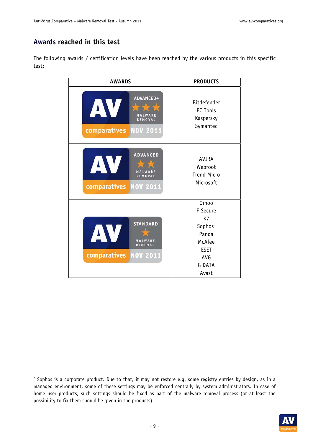#### **Awards reached in this test**

-

The following awards / certification levels have been reached by the various products in this specific test:

| <b>AWARDS</b>                                                                          | <b>PRODUCTS</b>                                                                                                   |  |  |  |
|----------------------------------------------------------------------------------------|-------------------------------------------------------------------------------------------------------------------|--|--|--|
| <b>ADVANCED+</b><br>A<br>MALWARE<br>REMOVAL<br><b>NOV 2011</b><br>comparatives         | <b>Bitdefender</b><br>PC Tools<br>Kaspersky<br>Symantec                                                           |  |  |  |
| <b>ADVANCED</b><br>AV<br><b>REMOVAL</b><br>comparatives NOV 2011                       | AVIRA<br>Webroot<br><b>Trend Micro</b><br>Microsoft                                                               |  |  |  |
| <b>STANDARD</b><br>AV.<br>MALWARE<br><b>REMOVAL</b><br>comparatives<br><b>NOV 2011</b> | Qihoo<br>F-Secure<br>K7<br>Sophos <sup>2</sup><br>Panda<br>McAfee<br><b>ESET</b><br>AVG<br><b>G DATA</b><br>Avast |  |  |  |

<sup>2</sup> Sophos is a corporate product. Due to that, it may not restore e.g. some registry entries by design, as in a managed environment, some of these settings may be enforced centrally by system administrators. In case of home user products, such settings should be fixed as part of the malware removal process (or at least the possibility to fix them should be given in the products).